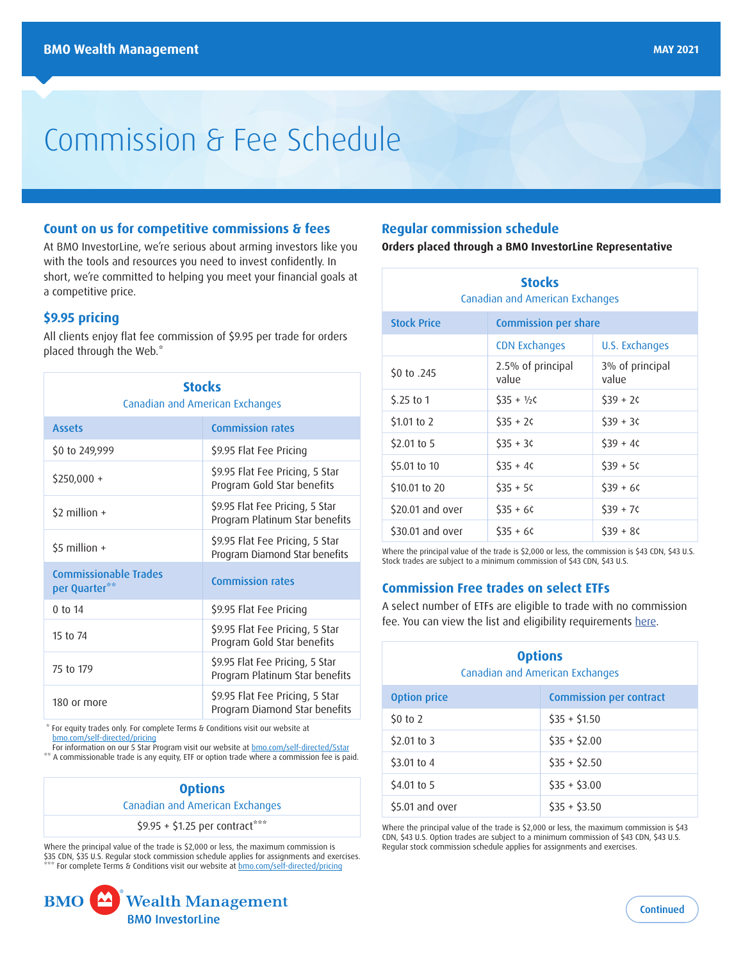# Commission & Fee Schedule

## **Count on us for competitive commissions & fees**

At BMO InvestorLine, we're serious about arming investors like you with the tools and resources you need to invest confidently. In short, we're committed to helping you meet your financial goals at a competitive price.

## **\$9.95 pricing**

All clients enjoy flat fee commission of \$9.95 per trade for orders placed through the Web.[\\*](#page-0-0)

| <b>Stocks</b><br>Canadian and American Exchanges |                                                                   |  |
|--------------------------------------------------|-------------------------------------------------------------------|--|
| <b>Assets</b>                                    | <b>Commission rates</b>                                           |  |
| \$0 to 249,999                                   | \$9.95 Flat Fee Pricing                                           |  |
| $$250,000 +$                                     | \$9.95 Flat Fee Pricing, 5 Star<br>Program Gold Star benefits     |  |
| $$2$ million +                                   | \$9.95 Flat Fee Pricing, 5 Star<br>Program Platinum Star benefits |  |
| \$5 million $+$                                  | \$9.95 Flat Fee Pricing, 5 Star<br>Program Diamond Star benefits  |  |
| <b>Commissionable Trades</b><br>per Quarter**    | <b>Commission rates</b>                                           |  |
| 0 to 14                                          | \$9.95 Flat Fee Pricing                                           |  |
| 15 to 74                                         | \$9.95 Flat Fee Pricing, 5 Star<br>Program Gold Star benefits     |  |
| 75 to 179                                        | \$9.95 Flat Fee Pricing, 5 Star<br>Program Platinum Star benefits |  |
| 180 or more                                      | \$9.95 Flat Fee Pricing, 5 Star<br>Program Diamond Star benefits  |  |

<span id="page-0-0"></span> \* For equity trades only. For complete Terms & Conditions visit our website at [bmo.com/self-directed/pricing](http://bmo.com/self-directed/pricing)

<span id="page-0-1"></span>For information on our 5 Star Program visit our website at **bmo.com/self-directed/5star** A commissionable trade is any equity, ETF or option trade where a commission fee is paid.

# **Options** Canadian and American Exchanges

 $$9.95 + $1.25$  per contract[\\*\\*\\*](#page-0-2)

<span id="page-0-2"></span>Where the principal value of the trade is \$2,000 or less, the maximum commission is \$35 CDN, \$35 U.S. Regular stock commission schedule applies for assignments and exercises. \* For complete Terms & Conditions visit our website at **[bmo.com/self-directed/pricing](http://bmo.com/self-directed/pricing)** 



# **Regular commission schedule**

**Orders placed through a BMO InvestorLine Representative**

| <b>Stocks</b><br>Canadian and American Exchanges |                             |                          |  |
|--------------------------------------------------|-----------------------------|--------------------------|--|
| <b>Stock Price</b>                               | <b>Commission per share</b> |                          |  |
|                                                  | <b>CDN Exchanges</b>        | U.S. Exchanges           |  |
| \$0 to .245                                      | 2.5% of principal<br>value  | 3% of principal<br>value |  |
| $5.25$ to 1                                      | $535 + 1/26$                | $539 + 26$               |  |
| \$1.01 to 2                                      | $535 + 26$                  | $$39 + 36$               |  |
| \$2.01 to 5                                      | $535 + 36$                  | $539 + 46$               |  |
| \$5.01 to 10                                     | $$35 + 4C$                  | $539 + 56$               |  |
| \$10.01 to 20                                    | $$35 + 56$                  | $539 + 66$               |  |
| \$20.01 and over                                 | $$35 + 60$                  | $539 + 76$               |  |
| \$30.01 and over                                 | $$35 + 66$                  | $539 + 86$               |  |

Where the principal value of the trade is \$2,000 or less, the commission is \$43 CDN, \$43 U.S. Stock trades are subject to a minimum commission of \$43 CDN, \$43 U.S.

# **Commission Free trades on select ETFs**

A select number of ETFs are eligible to trade with no commission fee. You can view the list and eligibility requirements [here.](https://www.bmoinvestorline.com/selfDirected/pdfs/no_commission_fee_etfs_en.pdf)

| <b>Options</b><br>Canadian and American Exchanges |                                |  |
|---------------------------------------------------|--------------------------------|--|
| <b>Option price</b>                               | <b>Commission per contract</b> |  |
| $50$ to 2                                         | $$35 + $1.50$                  |  |
| $$2.01$ to 3                                      | $$35 + $2.00$                  |  |
| \$3.01 to 4                                       | $$35 + $2.50$                  |  |
| \$4.01 to 5                                       | $$35 + $3.00$                  |  |
| \$5.01 and over                                   | $$35 + $3.50$                  |  |

Where the principal value of the trade is \$2,000 or less, the maximum commission is \$43 CDN, \$43 U.S. Option trades are subject to a minimum commission of \$43 CDN, \$43 U.S. Regular stock commission schedule applies for assignments and exercises.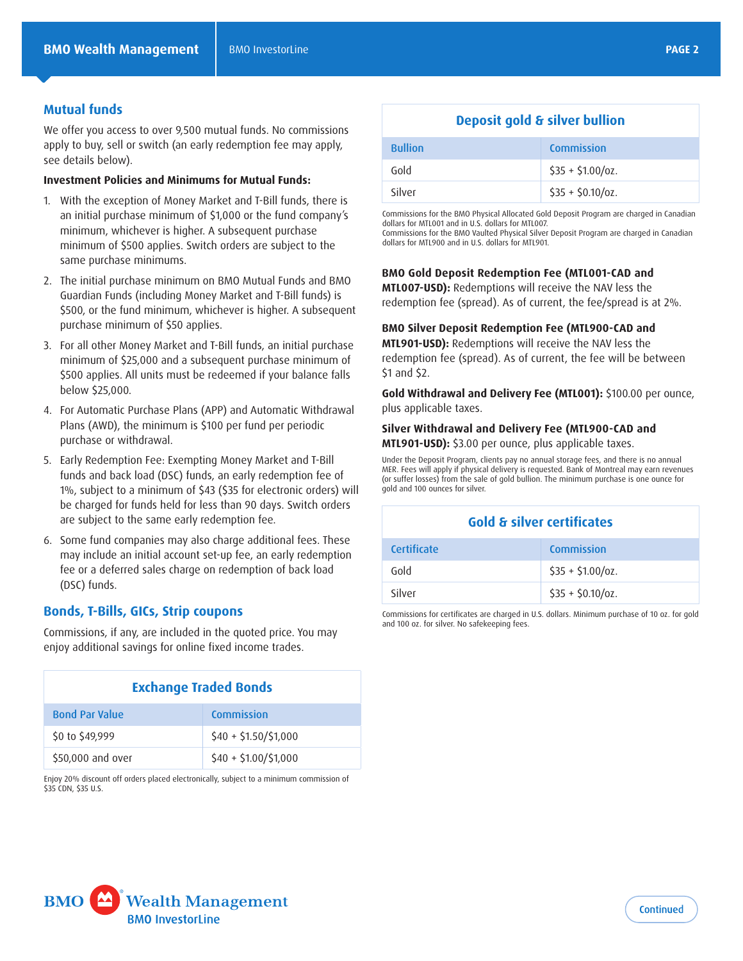## **Mutual funds**

We offer you access to over 9,500 mutual funds. No commissions apply to buy, sell or switch (an early redemption fee may apply, see details below).

#### **Investment Policies and Minimums for Mutual Funds:**

- 1. With the exception of Money Market and T-Bill funds, there is an initial purchase minimum of \$1,000 or the fund company's minimum, whichever is higher. A subsequent purchase minimum of \$500 applies. Switch orders are subject to the same purchase minimums.
- 2. The initial purchase minimum on BMO Mutual Funds and BMO Guardian Funds (including Money Market and T-Bill funds) is \$500, or the fund minimum, whichever is higher. A subsequent purchase minimum of \$50 applies.
- 3. For all other Money Market and T-Bill funds, an initial purchase minimum of \$25,000 and a subsequent purchase minimum of \$500 applies. All units must be redeemed if your balance falls below \$25,000.
- 4. For Automatic Purchase Plans (APP) and Automatic Withdrawal Plans (AWD), the minimum is \$100 per fund per periodic purchase or withdrawal.
- 5. Early Redemption Fee: Exempting Money Market and T-Bill funds and back load (DSC) funds, an early redemption fee of 1%, subject to a minimum of \$43 (\$35 for electronic orders) will be charged for funds held for less than 90 days. Switch orders are subject to the same early redemption fee.
- 6. Some fund companies may also charge additional fees. These may include an initial account set-up fee, an early redemption fee or a deferred sales charge on redemption of back load (DSC) funds.

## **Bonds, T-Bills, GICs, Strip coupons**

Commissions, if any, are included in the quoted price. You may enjoy additional savings for online fixed income trades.

| <b>Exchange Traded Bonds</b> |                           |  |
|------------------------------|---------------------------|--|
| <b>Bond Par Value</b>        | Commission                |  |
| \$0 to \$49,999              | $$40 + $1.50 / $1,000$    |  |
| \$50,000 and over            | $$40 + $1.00 \div 51.000$ |  |

Enjoy 20% discount off orders placed electronically, subject to a minimum commission of \$35 CDN, \$35 U.S.

# **Deposit gold & silver bullion**

| <b>Bullion</b> | <b>Commission</b> |
|----------------|-------------------|
| Gold           | $$35 + $1.00/0z.$ |
| Silver         | $$35 + $0.10/0z.$ |

Commissions for the BMO Physical Allocated Gold Deposit Program are charged in Canadian dollars for MTL001 and in U.S. dollars for MTL007.

Commissions for the BMO Vaulted Physical Silver Deposit Program are charged in Canadian dollars for MTL900 and in U.S. dollars for MTL901.

#### **BMO Gold Deposit Redemption Fee (MTL001-CAD and**

**MTL007-USD):** Redemptions will receive the NAV less the redemption fee (spread). As of current, the fee/spread is at 2%.

#### **BMO Silver Deposit Redemption Fee (MTL900-CAD and**

**MTL901-USD):** Redemptions will receive the NAV less the redemption fee (spread). As of current, the fee will be between \$1 and \$2.

**Gold Withdrawal and Delivery Fee (MTL001):** \$100.00 per ounce, plus applicable taxes.

#### **Silver Withdrawal and Delivery Fee (MTL900-CAD and MTL901-USD):** \$3.00 per ounce, plus applicable taxes.

Under the Deposit Program, clients pay no annual storage fees, and there is no annual MER. Fees will apply if physical delivery is requested. Bank of Montreal may earn revenues (or suffer losses) from the sale of gold bullion. The minimum purchase is one ounce for gold and 100 ounces for silver.

| <b>Gold &amp; silver certificates</b> |                    |  |
|---------------------------------------|--------------------|--|
| <b>Certificate</b>                    | Commission         |  |
| Gold                                  | $$35 + $1.00/0z.$  |  |
| Silver                                | $$35 + $0.10/0z$ . |  |

Commissions for certificates are charged in U.S. dollars. Minimum purchase of 10 oz. for gold and 100 oz. for silver. No safekeeping fees.

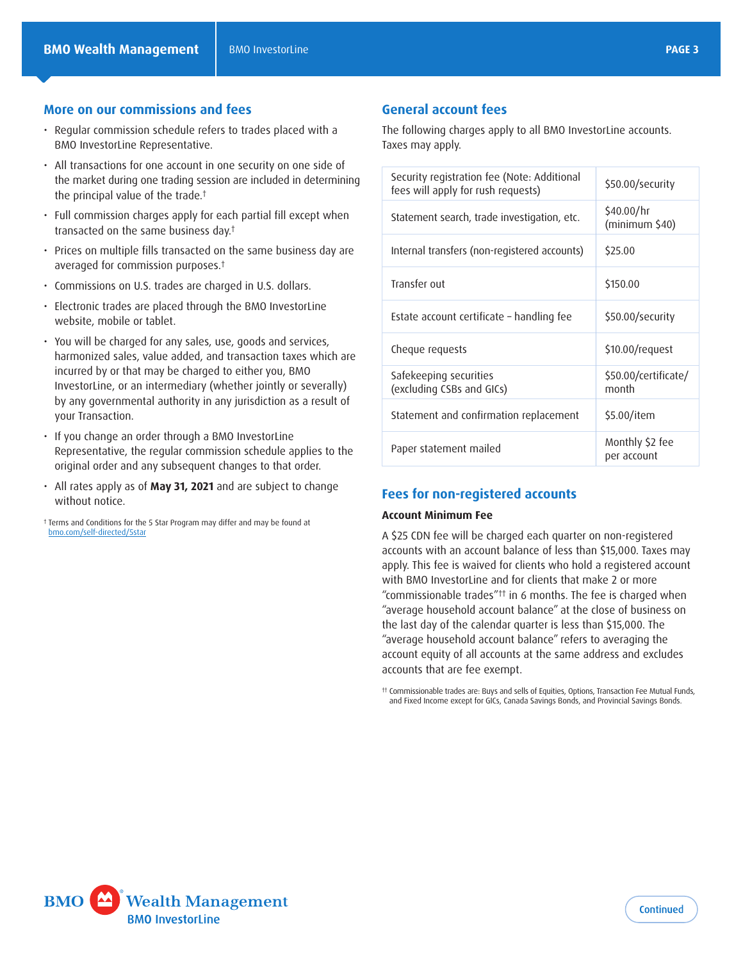# **More on our commissions and fees**

- Regular commission schedule refers to trades placed with a BMO InvestorLine Representative.
- All transactions for one account in one security on one side of the market during one trading session are included in determining the principal value of the trade[.†](#page-2-0)
- Full commission charges apply for each partial fill except when transacted on the same business day.[†](#page-2-0)
- Prices on multiple fills transacted on the same business day are averaged for commission purposes[.†](#page-2-0)
- Commissions on U.S. trades are charged in U.S. dollars.
- Electronic trades are placed through the BMO InvestorLine website, mobile or tablet.
- You will be charged for any sales, use, goods and services, harmonized sales, value added, and transaction taxes which are incurred by or that may be charged to either you, BMO InvestorLine, or an intermediary (whether jointly or severally) by any governmental authority in any jurisdiction as a result of your Transaction.
- If you change an order through a BMO InvestorLine Representative, the regular commission schedule applies to the original order and any subsequent changes to that order.
- All rates apply as of **May 31, 2021** and are subject to change without notice.

<span id="page-2-0"></span>† Terms and Conditions for the 5 Star Program may differ and may be found at [bmo.com/self-directed/5star](http://bmo.com/self-directed/5star)

# **General account fees**

The following charges apply to all BMO InvestorLine accounts. Taxes may apply.

| Security registration fee (Note: Additional<br>fees will apply for rush requests) | \$50.00/security               |
|-----------------------------------------------------------------------------------|--------------------------------|
| Statement search, trade investigation, etc.                                       | \$40.00/hr<br>(minimum \$40)   |
| Internal transfers (non-registered accounts)                                      | \$25.00                        |
| Transfer out                                                                      | \$150.00                       |
| Estate account certificate – handling fee                                         | \$50.00/security               |
| Cheque requests                                                                   | \$10.00/request                |
| Safekeeping securities<br>(excluding CSBs and GICs)                               | \$50.00/certificate/<br>month  |
| Statement and confirmation replacement                                            | \$5.00/item                    |
| Paper statement mailed                                                            | Monthly \$2 fee<br>per account |

## **Fees for non-registered accounts**

#### **Account Minimum Fee**

A \$25 CDN fee will be charged each quarter on non-registered accounts with an account balance of less than \$15,000. Taxes may apply. This fee is waived for clients who hold a registered account with BMO InvestorLine and for clients that make 2 or more "commissionable trades"[††](#page-2-1) in 6 months. The fee is charged when "average household account balance" at the close of business on the last day of the calendar quarter is less than \$15,000. The "average household account balance" refers to averaging the account equity of all accounts at the same address and excludes accounts that are fee exempt.

<span id="page-2-1"></span>†† Commissionable trades are: Buys and sells of Equities, Options, Transaction Fee Mutual Funds, and Fixed Income except for GICs, Canada Savings Bonds, and Provincial Savings Bonds.

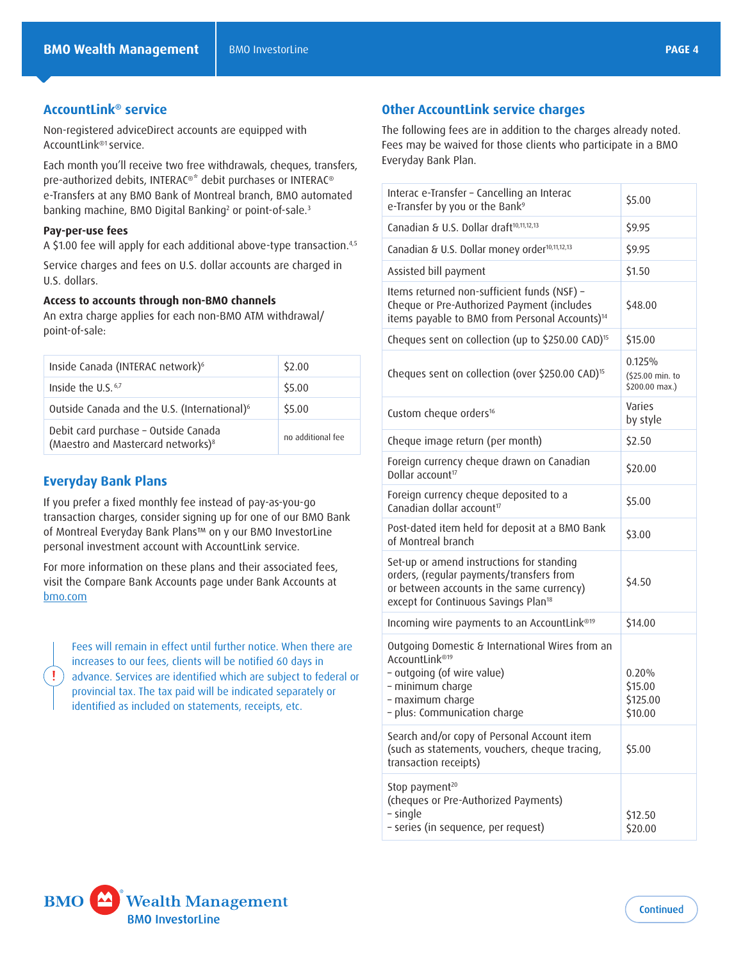# **AccountLink® service**

Non-registered adviceDirect accounts are equipped with AccountLink[®1](#page-4-0) service.

Each month you'll receive two free withdrawals, cheques, transfers, pre-authorized debits, INTERAC®\* debit purchases or INTERAC® e-Transfers at any BMO Bank of Montreal branch, BMO automated banking machine, BMO Digital Banking<sup>[2](#page-4-1)</sup> or point-of-sale.<sup>[3](#page-4-2)</sup>

#### **Pay-per-use fees**

A \$1.00 fee will apply for each additional above-type transaction.[4](#page-4-3),[5](#page-4-4)

Service charges and fees on U.S. dollar accounts are charged in U.S. dollars.

#### **Access to accounts through non-BMO channels**

An extra charge applies for each non-BMO ATM withdrawal/ point-of-sale:

| Inside Canada (INTERAC network) <sup>6</sup>                                           | \$2.00            |
|----------------------------------------------------------------------------------------|-------------------|
| Inside the U.S. <sup>6,7</sup>                                                         | \$5.00            |
| Outside Canada and the U.S. (International) <sup>6</sup>                               | \$5.00            |
| Debit card purchase - Outside Canada<br>(Maestro and Mastercard networks) <sup>8</sup> | no additional fee |

## **Everyday Bank Plans**

Ţ

If you prefer a fixed monthly fee instead of pay-as-you-go transaction charges, consider signing up for one of our BMO Bank of Montreal Everyday Bank Plans™ on y our BMO InvestorLine personal investment account with AccountLink service.

For more information on these plans and their associated fees, visit the Compare Bank Accounts page under Bank Accounts at [bmo.com](http://bmo.com)

Fees will remain in effect until further notice. When there are increases to our fees, clients will be notified 60 days in advance. Services are identified which are subject to federal or provincial tax. The tax paid will be indicated separately or identified as included on statements, receipts, etc.

# **Other AccountLink service charges**

The following fees are in addition to the charges already noted. Fees may be waived for those clients who participate in a BMO Everyday Bank Plan.

| Interac e-Transfer - Cancelling an Interac<br>e-Transfer by you or the Bank <sup>9</sup>                                                                                               | \$5.00                                        |
|----------------------------------------------------------------------------------------------------------------------------------------------------------------------------------------|-----------------------------------------------|
| Canadian & U.S. Dollar draft <sup>10,11,12,13</sup>                                                                                                                                    | \$9.95                                        |
| Canadian & U.S. Dollar money order <sup>10,11,12,13</sup>                                                                                                                              | \$9.95                                        |
| Assisted bill payment                                                                                                                                                                  | \$1.50                                        |
| Items returned non-sufficient funds (NSF) -<br>Cheque or Pre-Authorized Payment (includes<br>items payable to BMO from Personal Accounts) <sup>14</sup>                                | \$48.00                                       |
| Cheques sent on collection (up to \$250.00 CAD) <sup>15</sup>                                                                                                                          | \$15.00                                       |
| Cheques sent on collection (over \$250.00 CAD) <sup>15</sup>                                                                                                                           | 0.125%<br>(\$25.00 min. to<br>$$200.00$ max.) |
| Custom cheque orders <sup>16</sup>                                                                                                                                                     | Varies<br>by style                            |
| Cheque image return (per month)                                                                                                                                                        | \$2.50                                        |
| Foreign currency cheque drawn on Canadian<br>Dollar account <sup>17</sup>                                                                                                              | \$20.00                                       |
| Foreign currency cheque deposited to a<br>Canadian dollar account <sup>17</sup>                                                                                                        | \$5.00                                        |
| Post-dated item held for deposit at a BMO Bank<br>of Montreal branch                                                                                                                   | \$3.00                                        |
| Set-up or amend instructions for standing<br>orders, (regular payments/transfers from<br>or between accounts in the same currency)<br>except for Continuous Savings Plan <sup>18</sup> | \$4.50                                        |
| Incoming wire payments to an AccountLink®19                                                                                                                                            | \$14.00                                       |
| Outgoing Domestic & International Wires from an<br>AccountLink®19<br>- outgoing (of wire value)<br>- minimum charge<br>- maximum charge<br>- plus: Communication charge                | 0.20%<br>\$15.00<br>\$125.00<br>\$10.00       |
| Search and/or copy of Personal Account item<br>(such as statements, vouchers, cheque tracing,<br>transaction receipts)                                                                 | \$5.00                                        |
| Stop payment <sup>20</sup><br>(cheques or Pre-Authorized Payments)<br>- single<br>- series (in sequence, per request)                                                                  | \$12.50<br>\$20.00                            |